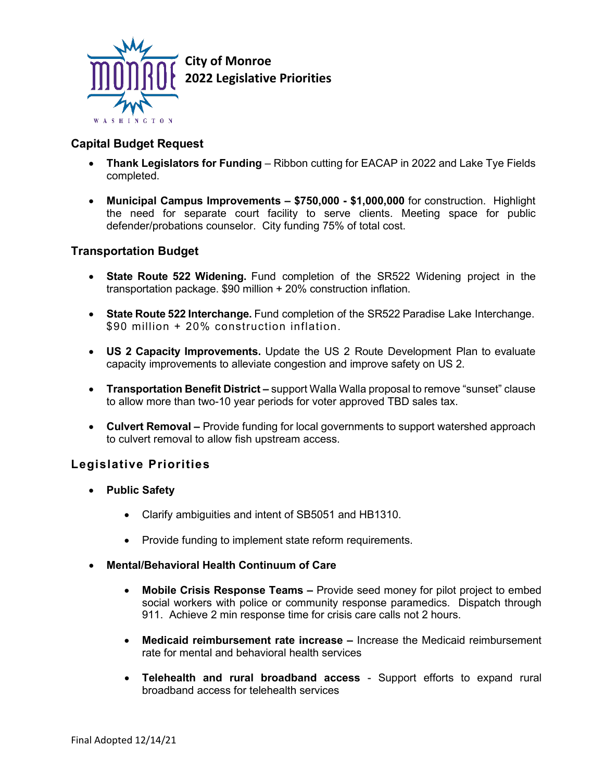

## **Capital Budget Request**

- **Thank Legislators for Funding** Ribbon cutting for EACAP in 2022 and Lake Tye Fields completed.
- **Municipal Campus Improvements – \$750,000 - \$1,000,000** for construction. Highlight the need for separate court facility to serve clients. Meeting space for public defender/probations counselor. City funding 75% of total cost.

## **Transportation Budget**

- **State Route 522 Widening.** Fund completion of the SR522 Widening project in the transportation package. \$90 million + 20% construction inflation.
- **State Route 522 Interchange.** Fund completion of the SR522 Paradise Lake Interchange. \$90 million + 20% construction inflation.
- **US 2 Capacity Improvements.** Update the US 2 Route Development Plan to evaluate capacity improvements to alleviate congestion and improve safety on US 2.
- **Transportation Benefit District –** support Walla Walla proposal to remove "sunset" clause to allow more than two-10 year periods for voter approved TBD sales tax.
- **Culvert Removal –** Provide funding for local governments to support watershed approach to culvert removal to allow fish upstream access.

## **Legislative Priorities**

- **Public Safety**
	- Clarify ambiguities and intent of SB5051 and HB1310.
	- Provide funding to implement state reform requirements.
- **Mental/Behavioral Health Continuum of Care**
	- **Mobile Crisis Response Teams –** Provide seed money for pilot project to embed social workers with police or community response paramedics. Dispatch through 911. Achieve 2 min response time for crisis care calls not 2 hours.
	- **Medicaid reimbursement rate increase –** Increase the Medicaid reimbursement rate for mental and behavioral health services
	- **Telehealth and rural broadband access** Support efforts to expand rural broadband access for telehealth services